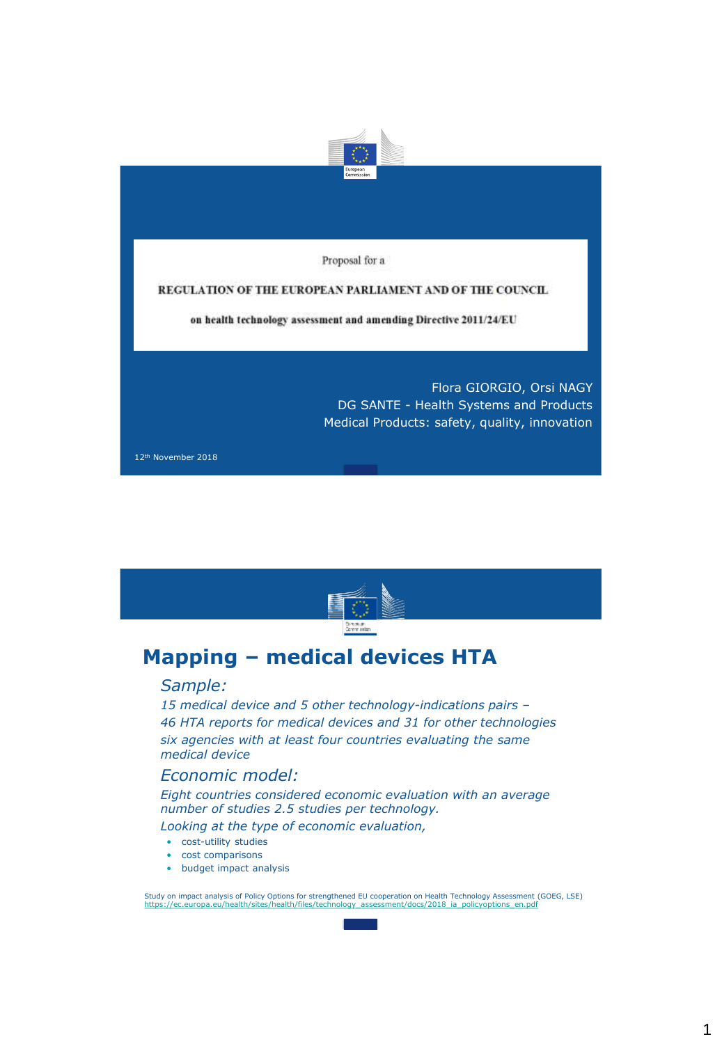

 $P1$  **oposal** for a

#### REGULATION OF THE EUROPEAN PARLIAMENT AND OF THE COUNCIL.

on health technology assessment and amending Directive 2011/24/EU

Flora GIORGIO, Orsi NAGY DG SANTE - Health Systems and Products Medical Products: safety, quality, innovation

12th November 2018



# **Mapping – medical devices HTA**

#### • *Sample:*

• *15 medical device and 5 other technology-indications pairs –* • *46 HTA reports for medical devices and 31 for other technologies*  • *six agencies with at least four countries evaluating the same medical device* 

#### • *Economic model:*

• *Eight countries considered economic evaluation with an average number of studies 2.5 studies per technology.* 

• *Looking at the type of economic evaluation,* 

- cost-utility studies
- cost comparisons
- budget impact analysis

Study on impact analysis of Policy Options for strengthened EU cooperation on Health Technology Assessment (GOEG, LSE) [https://ec.europa.eu/health/sites/health/files/technology\\_assessment/docs/2018\\_ia\\_policyoptions\\_en.pdf](https://ec.europa.eu/health/sites/health/files/technology_assessment/docs/2018_ia_policyoptions_en.pdf)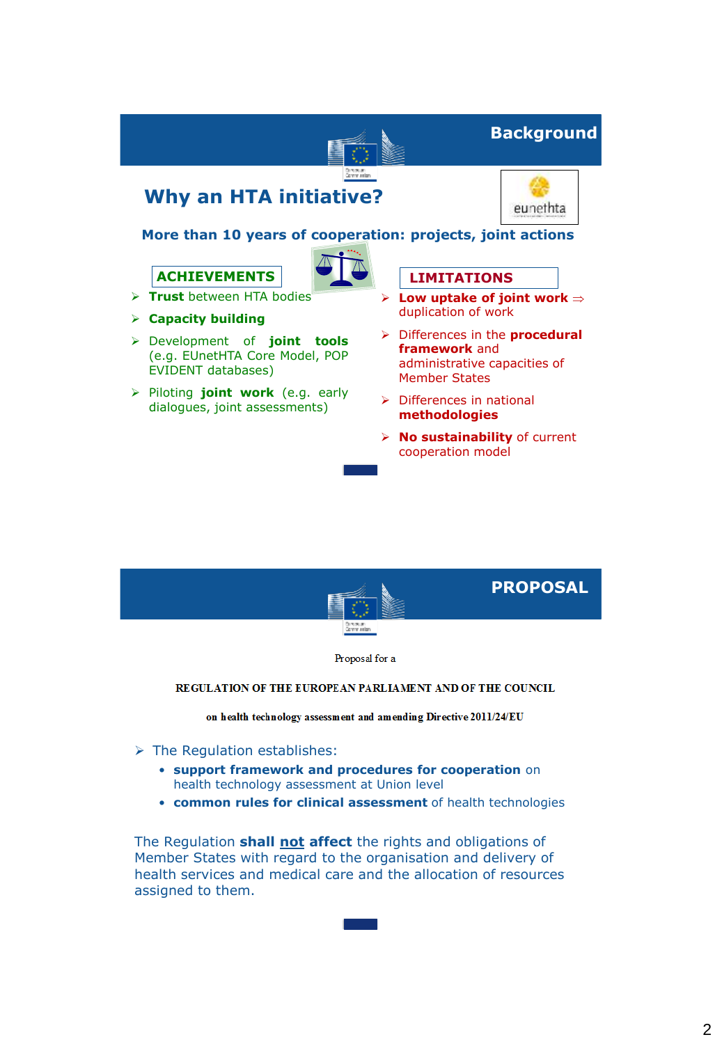



Proposal for a

#### REGULATION OF THE EUROPEAN PARLIAMENT AND OF THE COUNCIL

on health technology assessment and amending Directive 2011/24/EU

- $\triangleright$  The Regulation establishes:
	- **support framework and procedures for cooperation** on health technology assessment at Union level
	- **common rules for clinical assessment** of health technologies

The Regulation **shall not affect** the rights and obligations of Member States with regard to the organisation and delivery of health services and medical care and the allocation of resources assigned to them.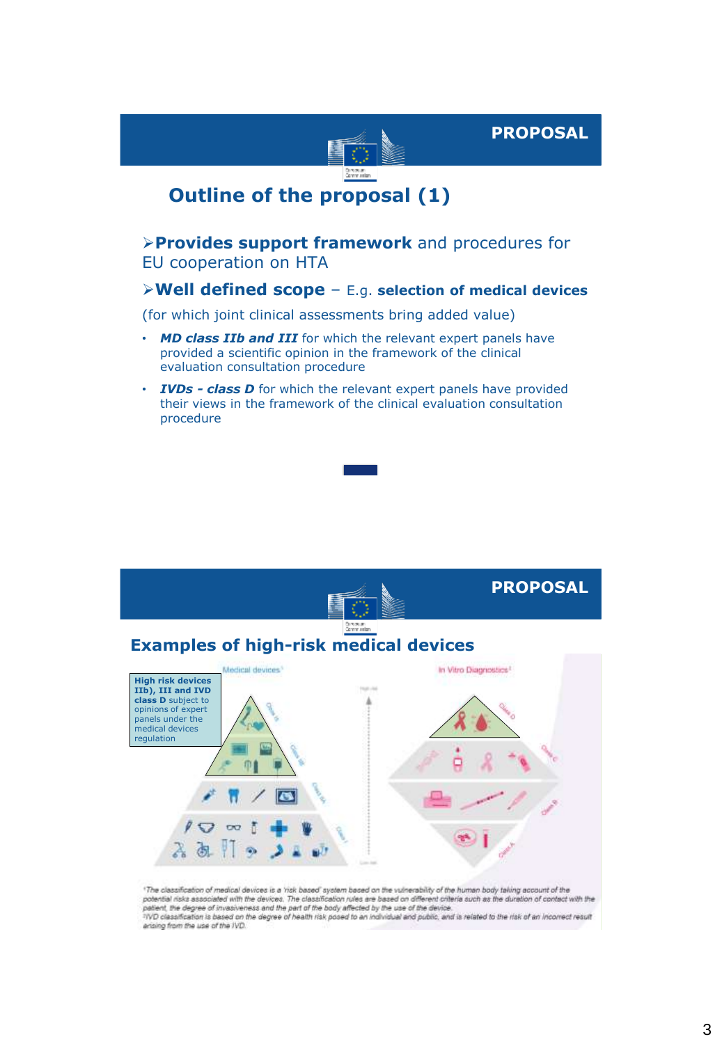



### **Outline of the proposal (1)**

### **Provides support framework** and procedures for EU cooperation on HTA

### **Well defined scope** – E.g. **selection of medical devices**

(for which joint clinical assessments bring added value)

- *MD class IIb and III* for which the relevant expert panels have provided a scientific opinion in the framework of the clinical evaluation consultation procedure
- **IVDs class D** for which the relevant expert panels have provided their views in the framework of the clinical evaluation consultation procedure



<sup>1</sup>The classification of medical devices is a 'risk based' system based on the vulnerability of the human body taking account of the<br>potential risks associated with the devices. The classification rules are based on differ patient, the degree of invasiveness and the part of the body affected by the use of the device.<br>TVD classification is based on the degree of health risk posed to an individual and public, and is related to the risk of an i ansing from the use of the IVD.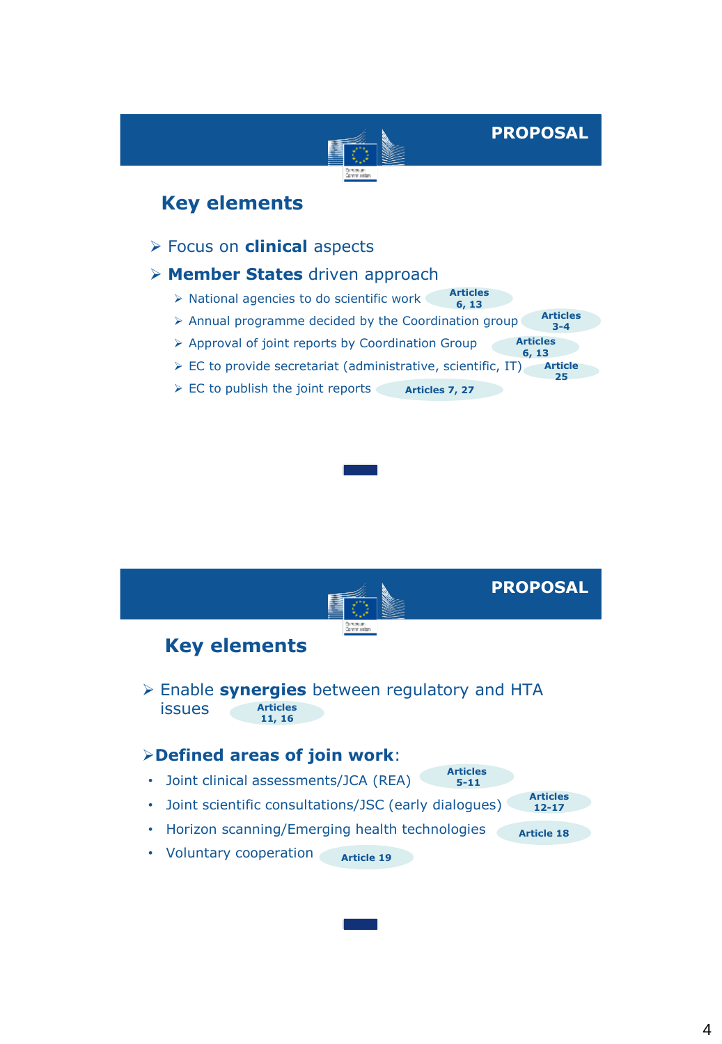**PROPOSAL**

### **Key elements**

Focus on **clinical** aspects

#### **Member States** driven approach

- > National agencies to do scientific work **Articles 6, 13**
- $\triangleright$  Annual programme decided by the Coordination group **Articles 3-4**
- Approval of joint reports by Coordination Group **Articles 6, 13**
- $\triangleright$  EC to provide secretariat (administrative, scientific, IT) **Article 25**
- $\triangleright$  EC to publish the joint reports **Articles 7, 27**

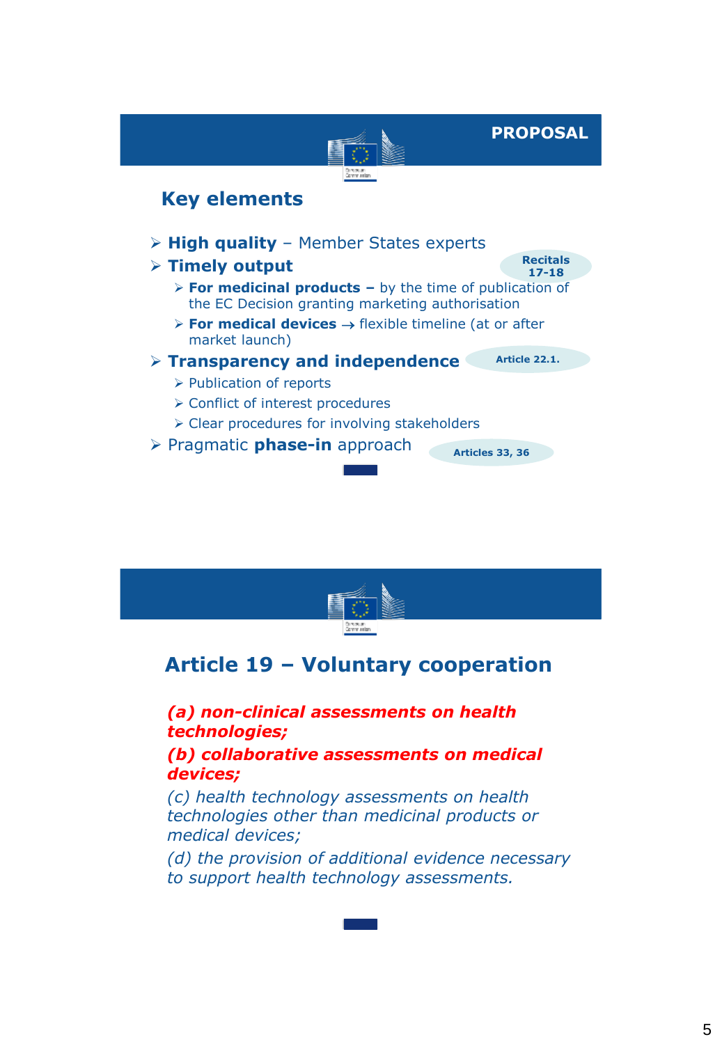**PROPOSAL**

**Recitals 17-18**

## **Key elements**

- **High quality**  Member States experts
- **Timely output** 
	- **For medicinal products –** by the time of publication of the EC Decision granting marketing authorisation
	- $\triangleright$  **For medical devices**  $\rightarrow$  flexible timeline (at or after market launch)
- **Transparency and independence**
- **Article 22.1.**

**Articles 33, 36**

- > Publication of reports
- **≻ Conflict of interest procedures**
- $\triangleright$  Clear procedures for involving stakeholders
- Pragmatic **phase-in** approach

## **Article 19 – Voluntary cooperation**

• *(a) non-clinical assessments on health technologies;* 

• *(b) collaborative assessments on medical devices;* 

• *(c) health technology assessments on health technologies other than medicinal products or medical devices;* 

• *(d) the provision of additional evidence necessary to support health technology assessments.*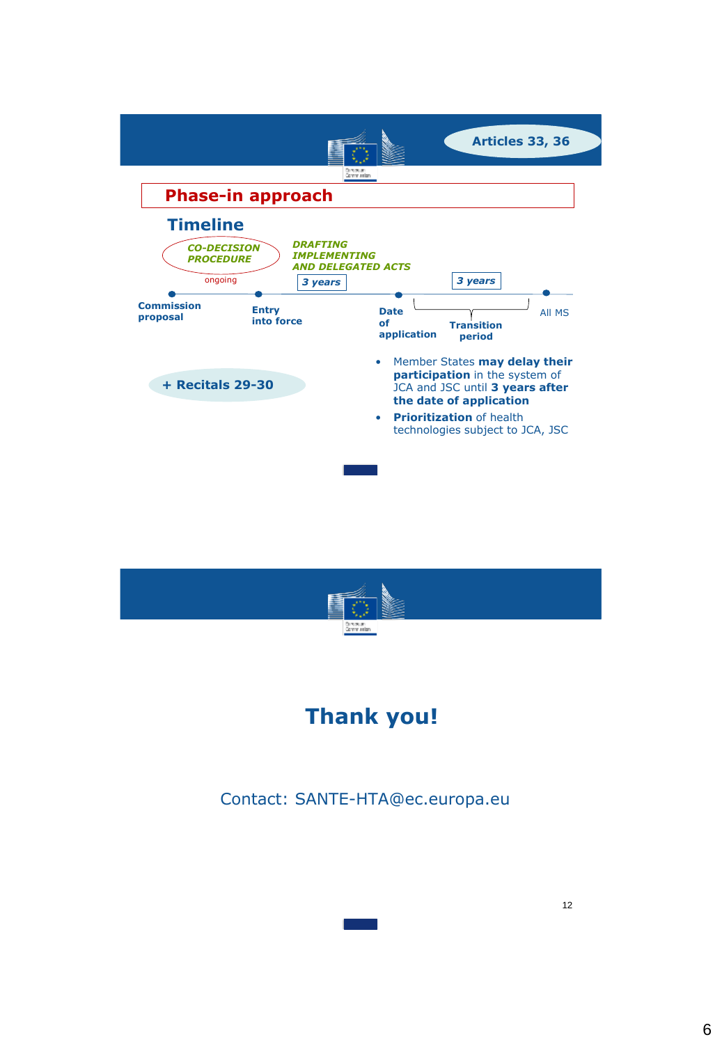



# • **Thank you!**

Contact: SANTE-HTA@ec.europa.eu